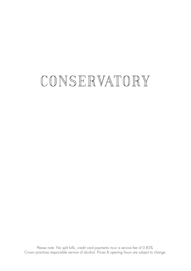# CONSERVATORY

Please note: No split bills, credit card payments incur a service fee of 0.85%. Crown practices responsible service of alcohol. Prices & opening hours are subject to change.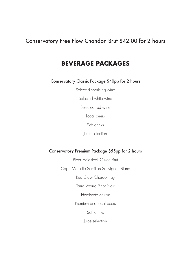#### Conservatory Free Flow Chandon Brut \$42.00 for 2 hours

#### **BEVERAGE PACKAGES**

Conservatory Classic Package \$40pp for 2 hours

Selected sparkling wine

Selected white wine

Selected red wine

Local beers

Soft drinks

Juice selection

#### Conservatory Premium Package \$55pp for 2 hours

Piper Heidsieck Cuvee Brut Cape Mentelle Semillon Sauvignon Blanc Red Claw Chardonnay Tarra Warra Pinot Noir Heathcote Shiraz Premium and local beers Soft drinks Juice selection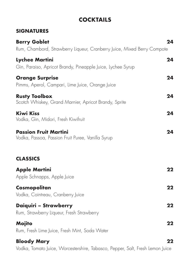## **COCKTAILS**

#### **SIGNATURES**

| <b>Berry Goblet</b><br>Rum, Chambord, Strawberry Liqueur, Cranberry Juice, Mixed Berry Compote | 24 |
|------------------------------------------------------------------------------------------------|----|
| <b>Lychee Martini</b><br>Gin, Paraiso, Apricot Brandy, Pineapple Juice, Lychee Syrup           | 24 |
| <b>Orange Surprise</b><br>Pimms, Aperol, Campari, Lime Juice, Orange Juice                     | 24 |
| <b>Rusty Toolbox</b><br>Scotch Whiskey, Grand Marnier, Apricot Brandy, Sprite                  | 24 |
| <b>Kiwi Kiss</b><br>Vodka, Gin, Midori, Fresh Kiwifruit                                        | 24 |
| <b>Passion Fruit Martini</b><br>Vodka, Passoa, Passion Fruit Puree, Vanilla Syrup              | 24 |
| <b>CLASSICS</b>                                                                                |    |
| <b>Apple Martini</b><br>Apple Schnapps, Apple Juice                                            | 22 |
| Cosmopolitan<br>Vodka, Cointreau, Cranberry Juice                                              | 22 |
| Daiquiri - Strawberry<br>Rum, Strawberry Liqueur, Fresh Strawberry                             | 22 |
| <b>Mojito</b><br>Rum, Fresh Lime Juice, Fresh Mint, Soda Water                                 | 22 |
| <b>Bloody Mary</b>                                                                             | 22 |

Vodka, Tomato Juice, Worcestershire, Tabasco, Pepper, Salt, Fresh Lemon Juice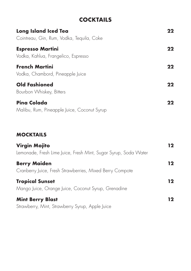## **COCKTAILS**

| <b>Long Island Iced Tea</b><br>Cointreau, Gin, Rum, Vodka, Tequila, Coke | 22 |
|--------------------------------------------------------------------------|----|
| <b>Espresso Martini</b><br>Vodka, Kahlua, Frangelico, Espresso           | 22 |
| <b>French Martini</b><br>Vodka, Chambord, Pineapple Juice                | 22 |
| <b>Old Fashioned</b><br>Bourbon Whiskey, Bitters                         | 22 |
| <b>Pina Colada</b><br>Malibu, Rum, Pineapple Juice, Coconut Syrup        | 22 |

#### **MOCKTAILS**

| <b>Virgin Mojito</b><br>Lemonade, Fresh Lime Juice, Fresh Mint, Sugar Syrup, Soda Water | 12 |
|-----------------------------------------------------------------------------------------|----|
| <b>Berry Maiden</b><br>Cranberry Juice, Fresh Strawberries, Mixed Berry Compote         | 12 |
| <b>Tropical Sunset</b><br>Mango Juice, Orange Juice, Coconut Syrup, Grenadine           | 12 |
| <b>Mint Berry Blast</b><br>Strawberry, Mint, Strawberry Syrup, Apple Juice              | 12 |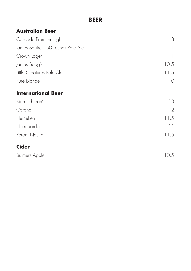#### **BEER**

#### **Australian Beer**

| Cascade Premium Light            | 8               |
|----------------------------------|-----------------|
| James Squire 150 Lashes Pale Ale | $\vert \ \vert$ |
| Crown Lager                      | 11              |
| James Boag's                     | 10.5            |
| Little Creatures Pale Ale        | 11.5            |
| Pure Blonde                      | 10              |
| <b>International Beer</b>        |                 |
| Kirin 'Ichiban'                  | 13              |
| Corona                           | 12              |
| Heineken                         | 11.5            |
| Hoegaarden                       | 11              |
| Peroni Nastro                    | 11.5            |
| <b>Cider</b>                     |                 |
| <b>Bulmers Apple</b>             | 10.5            |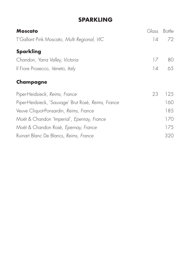## **SPARKLING**

| <b>Moscato</b>                                      | Glass | <b>Bottle</b> |
|-----------------------------------------------------|-------|---------------|
| T'Gallant Pink Moscato, Multi Regional, VIC         | 14    | 72            |
| <b>Sparkling</b>                                    |       |               |
| Chandon, Yarra Valley, Victoria                     | 17    | 80            |
| Il Fiore Prosecco, Veneto, Italy                    | 14    | 65            |
| Champagne                                           |       |               |
| Piper-Heidsieck, Reims, France                      | 23    | 125           |
| Piper-Heidsieck, 'Sauvage' Brut Rosé, Reims, France |       | 160           |
| Veuve Cliquot-Ponsardin, Reims, France              |       | 185           |
| Moët & Chandon 'Imperial', Epernay, France          |       | 170           |
| Moët & Chandon Rosé, Epernay, France                |       | 175           |
| Ruinart Blanc De Blancs, Reims, France              |       | 320           |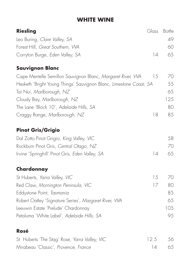## **WHITE WINE**

| <b>Riesling</b>                                                                                | Glass | <b>Bottle</b> |
|------------------------------------------------------------------------------------------------|-------|---------------|
| Leo Buring, Clare Valley, SA                                                                   |       | 49            |
| Forest Hill, Great Southern, WA                                                                |       | 60            |
| Corryton Burge, Eden Valley, SA                                                                | 4     | 65            |
| <b>Sauvignon Blanc</b>                                                                         |       |               |
| Cape Mentelle Semillon Sauvignon Blanc, Margaret River, WA                                     | 15    | 70            |
| Hesketh 'Bright Young Things' Sauvignon Blanc, Limestone Coast, SA<br>Tai Nui, Marlborough, NZ |       | 55<br>65      |
| Cloudy Bay, Marlborough, NZ                                                                    |       | 125           |
| The Lane 'Block 10', Adelaide Hills, SA                                                        |       | 80            |
| Craggy Range, Marlborough, NZ                                                                  | 18    | 85            |
| <b>Pinot Gris/Grigio</b>                                                                       |       |               |
| Dal Zotto Pinot Grigio, King Valley, VIC                                                       |       | 58            |
| Rockburn Pinot Gris, Central Otago, NZ                                                         |       | 70            |
| Irvine 'Springhill' Pinot Gris, Eden Valley, SA                                                | 14    | 65            |
| Chardonnay                                                                                     |       |               |
| St Huberts, Yarra Valley, VIC                                                                  | 15    | 70            |
| Red Claw, Mornington Peninsula, VIC                                                            | 17    | 80            |
| Eddystone Point, Tasmania                                                                      |       | 85            |
| Robert Oatley 'Signature Series', Margaret River, WA                                           |       | 65            |
| Leeuwin Estate 'Prelude' Chardonnay                                                            |       | 105           |
| Petaluma 'White Label', Adelaide Hills, SA                                                     |       | 95            |
| Rosé                                                                                           |       |               |
| St Huberts 'The Stag' Rose, Yarra Valley, VIC                                                  | 12.5  | 56            |
| Mirabeau 'Classic', Provence, France                                                           | 14    | 65            |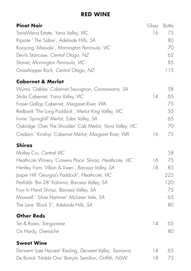#### **RED WINE**

| <b>Pinot Noir</b>                                          | Glass | <b>Bottle</b> |
|------------------------------------------------------------|-------|---------------|
| TarraWarra Estate, Yarra Valley, VIC                       | 16    | 75            |
| Ripsote ' The Sabre', Adelaide Hills, SA                   |       | 80            |
| Kooyong 'Massale', Mornington Peninsula, VIC               |       | 70            |
| Devils Staircase, Central Otago, NZ                        |       | 62            |
| Stonier, Mornington Peninsula, VIC                         |       | 85            |
| Grasshopper Rock, Central Otago, NZ                        |       | 115           |
| <b>Cabernet &amp; Merlot</b>                               |       |               |
| Wynns 'Gables' Cabernet Sauvignon, Coonawarra, SA          |       | 58            |
| Sticks Cabernet, Yarra Valley, VIC                         | 14    | 65            |
| Fraser Gallop Cabernet, Margaret River, WA                 |       | 75            |
| Redbank 'The Long Paddock', Merlot King Valley, VIC        |       | 55            |
| Irvine 'Springhill' Merlot, Eden Valley, SA                |       | 65            |
| Oakridge 'Over The Shoulder' Cab Merlot, Yarra Valley, VIC |       | 70            |
| Credaro ' Kinship' Cabernet Merlot, Margaret River, WA     | 16    | 75            |
| <b>Shiraz</b>                                              |       |               |
| Motley Cru, Central VIC                                    |       | 58            |
| Heathcote Winery 'Cravens Place' Shiraz, Heathcote, VIC    | 16    | 75            |
| Hentley Farm 'Villain & Vixen', Barossa Valley, SA         | 18    | 85            |
| Jasper Hill 'Georgia's Paddock', Heathcote, VIC            |       | 225           |
| Penfolds 'Bin 28' Kalimna, Barossa Valley, SA              |       | 120           |
| Four In Hand Shiraz, Barossa Valley, SA                    |       | 75            |
| Maxwell ' Silver Hammer' McLaren Vale, SA                  |       | 65            |
| The Lane 'Block 5', Adelaide Hills, SA                     |       | 80            |
| <b>Other Reds</b>                                          |       |               |
| Tar & Roses, Sangiovese                                    | 4     | 65            |
| Ox Hardy, Grenache                                         |       | 80            |
| <b>Sweet Wine</b>                                          |       |               |
| Derwent 'Late Harvest' Riesling, Derwent Valley, Tasmania  | 4     | 65            |
| De Bortoli 'Noble One' Botrytis Semillon, Griffith, NSW    | 18    | 75            |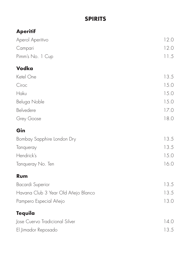## **SPIRITS**

## **Aperitif**

| Aperol Aperitivo                    | 12.0 |
|-------------------------------------|------|
| Campari                             | 12.0 |
| Pimm's No. 1 Cup                    | 11.5 |
| <b>Vodka</b>                        |      |
| Ketel One                           | 13.5 |
| Ciroc                               | 15.0 |
| Haku                                | 15.0 |
| Beluga Noble                        | 15.0 |
| Belvedere                           | 17.0 |
| Grey Goose                          | 18.0 |
| Gin                                 |      |
| Bombay Sapphire London Dry          | 13.5 |
| Tanqueray                           | 13.5 |
| Hendrick's                          | 15.0 |
| Tanqueray No. Ten                   | 16.0 |
| <b>Rum</b>                          |      |
| <b>Bacardi Superior</b>             | 13.5 |
| Havana Club 3 Year Old Añejo Blanco | 13.5 |
| Pampero Especial Añejo              | 13.0 |
| <b>Tequila</b>                      |      |
| Jose Cuervo Tradicional Silver      | 14.0 |
| El Jimador Reposado                 | 13.5 |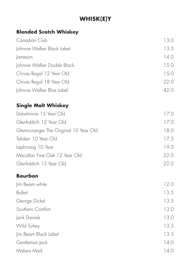## **WHISK(E)Y**

## **Blended Scotch Whiskey**

| Canadian Club                         | 13.0 |
|---------------------------------------|------|
| Johnnie Walker Black Label            | 13.5 |
| Jameson                               | 14.0 |
| Johnnie Walker Double Black           | 15.0 |
| Chivas Regal 12 Year Old              | 15.0 |
| Chivas Regal 18 Year Old              | 22.0 |
| Johnnie Walker Blue Label             | 42.0 |
| <b>Single Malt Whiskey</b>            |      |
| Dalwhinnie 15 Year Old                | 17.0 |
| Glenfiddich 12 Year Old               | 17.0 |
| Glenmorangie The Original 10 Year Old | 18.0 |
| Talisker 10 Year Old                  | 17.5 |
| Laphroaig 10 Year                     | 19.0 |
| Macallan Fine Oak 12 Year Old         | 22.0 |
| Glenfiddich 15 Year Old               | 22.0 |

#### **Bourbon**

| Jim Beam white       | 12.0 |
|----------------------|------|
| <b>Bulleit</b>       | 13.5 |
| George Dickel        | 13.5 |
| Southern Comfort     | 13.0 |
| Jack Daniels         | 13.0 |
| Wild Turkey          | 13.5 |
| Jim Beam Black Label | 13.5 |
| Gentleman Jack       | 14.0 |
| Makers Mark          | 14.0 |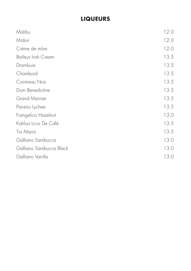## **LIQUEURS**

| Malibu                  | 12.0 |
|-------------------------|------|
| Midori                  | 12.0 |
| Crème de mûre           | 12.0 |
| Baileys Irish Cream     | 13.5 |
| Drambuie                | 13.5 |
| Chambord                | 13.5 |
| Cointreau Noir          | 13.5 |
| Dom Benedictine         | 13.5 |
| <b>Grand Marnier</b>    | 13.5 |
| Paraiso Lychee          | 13.5 |
| Frangelico Hazelnut     | 13.0 |
| Kahlua Licor De Café    | 13.5 |
| Tia Maria               | 13.5 |
| Galliano Sambucca       | 13.0 |
| Galliano Sambucca Black | 13.0 |
| Galliano Vanilla        | 13.0 |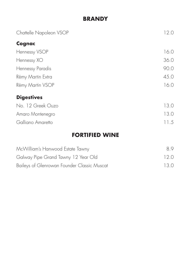### **BRANDY**

| Chattelle Napoleon VSOP | 12.0 |
|-------------------------|------|
| Cognac                  |      |
| Hennessy VSOP           | 16.0 |
| Hennessy XO             | 36.0 |
| Hennessy Paradis        | 90.0 |
| Rémy Martin Extra       | 45.0 |
| Rémy Martin VSOP        | 16.0 |
| <b>Digestives</b>       |      |
| No. 12 Greek Ouzo       | 13.0 |
| Amaro Montenegro        | 13.0 |
| Galliano Amaretto       | 11.5 |

## **FORTIFIED WINE**

| McWilliam's Hanwood Estate Tawny            | 89   |
|---------------------------------------------|------|
| Galway Pipe Grand Tawny 12 Year Old         | 120  |
| Baileys of Glenrowan Founder Classic Muscat | 13 O |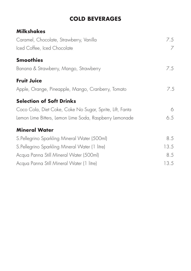## **COLD BEVERAGES**

| 7.5  |
|------|
| 7    |
|      |
| 7.5  |
|      |
| 7.5  |
|      |
| 6    |
| 6.5  |
|      |
| 8.5  |
| 13.5 |
| 8.5  |
| 13.5 |
|      |